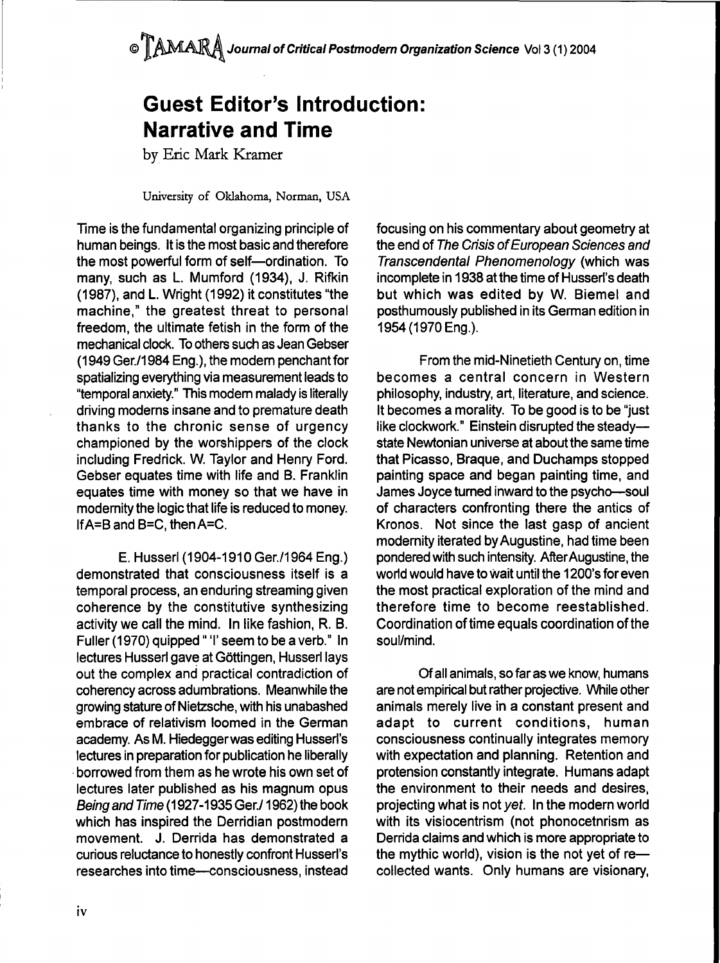## **Guest Editor's Introduction: Narrative and Time**

by Eric Mark Kramer

University of Oklahoma, Norman, USA

Time is the fundamental organizing principle of human beings. It is the most basic and therefore the most powerful form of self—ordination. To many, such as L. Mumford (1934), J. Rifkin (1987), and L. Wright (1992) it constitutes "the machine," the greatest threat to personal freedom, the ultimate fetish in the form of the mechanical clock. To others such as Jean Gebser (1949 Ger./1984 Eng.), the modem penchant for spatializing everything via measurement leads to "temporal anxiety." This modem malady is literally driving moderns insane and to premature death thanks to the chronic sense of urgency championed by the worshippers of the clock including Fredrick. W. Taylor and Henry Ford. Gebser equates time with life and B. Franklin equates time with money so that we have in modemity the logic that life is reduced to money. lfA=B and B=C, then A=C.

E. Husserl (1904-1910 Ger./1964 Eng.) demonstrated that consciousness itself is a temporal process, an enduring streaming given coherence by the constitutive synthesizing activity we call the mind. In like fashion, R. B. Fuller (1970) quipped " 'I' seem to be a verb." In lectures Husserl gave at Gottingen, Husserl lays out the complex and practical contradiction of coherency across adumbrations. Meanwhile the growing stature of Nietzsche, with his unabashed embrace of relativism loomed in the German academy. As M. Hiedeggerwas editing Husserl's lectures in preparation for publication he liberally borrowed from them as he wrote his own set of lectures later published as his magnum opus Being and Time (1927-1935 Ger./1962) the book which has inspired the Derridian postmodern movement. J. Derrida has demonstrated a curious reluctance to honestly confront Husserl's researches into time—consciousness, instead focusing on his commentary about geometry at the end of The Crisis of European Sciences and Transcendental Phenomenology (which was incomplete in 1938 at the time of Husserl's death but which was edited by W. Biemel and posthumously published in its German edition in 1954 (1970 Eng.).

From the mid-Ninetieth Century on, time becomes a central concern in Western philosophy, industry, art, literature, and science. It becomes a morality. To be good is to be "just like clockwork." Einstein disrupted the steady state Newtonian universe at about the same time that Picasso, Braque, and Duchamps stopped painting space and began painting time, and James Joyce turned inward to the psycho—soul of characters confronting there the antics of Kronos. Not since the last gasp of ancient modernity iterated by Augustine, had time been pondered with such intensity. After Augustine, the world would have to wait until the 1200's for even the most practical exploration of the mind and therefore time to become reestablished. Coordination of time equals coordination of the soul/mind.

Of all animals, so far as we know, humans are not empirical but rather projective. While other animals merely live in a constant present and adapt to current conditions, human consciousness continually integrates memory with expectation and planning. Retention and protension constantly integrate. Humans adapt the environment to their needs and desires, projecting what is not yet. In the modern world with its visiocentrism (not phonocetnrism as Derrida claims and which is more appropriate to the mythic world), vision is the not yet of re collected wants. Only humans are visionary.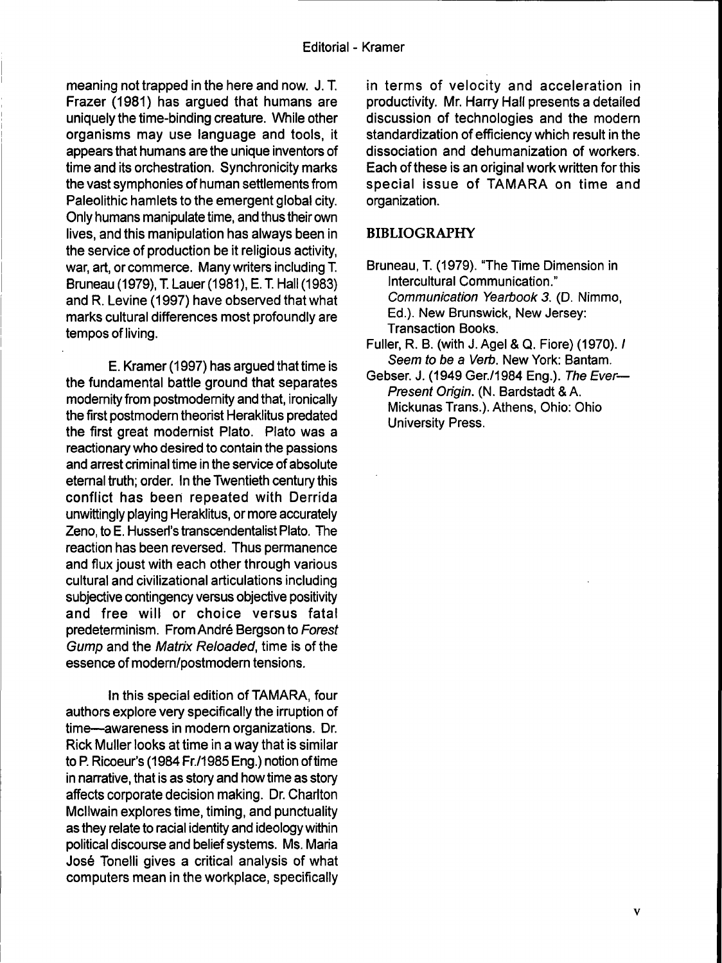meaning not trapped in the here and now. J. T. Frazer (1981) has argued that humans are uniquely the time-binding creature. While other organisms may use language and tools, it appears that humans are the unique inventors of time and its orchestration. Synchronicity marks the vast symphonies of human settlements from Paleolithic hamlets to the emergent global city. Only humans manipulate time, and thus their own lives, and this manipulation has always been in the service of production be it religious activity, war, art, or commerce. Many writers including T Bruneau (1979), T. Lauer (1981), E. T. Hall (1983) and R. Levine (1997) have observed that what marks cultural differences most profoundly are tempos of living.

E. Kramer (1997) has argued that time is the fundamental battle ground that separates modernity from postmodemity and that, ironically the first postmodern theorist Heraklitus predated the first great modernist Plato. Plato was a reactionary who desired to contain the passions and arrest criminal time in the service of absolute eternal truth; order. In the Twentieth century this conflict has been repeated with Derrida unwittingly playing Heraklitus, or more accurately Zeno, to E. Husserl's transcendentalist Plato, The reaction has been reversed. Thus permanence and flux joust with each other through various cultural and civilizational articulations including subjective contingency versus objective positivity and free will or choice versus fatal predeterminism. From Andre Bergson to Forest Gump and the Matrix Reloaded, time is of the essence of modern/postmodern tensions.

In this special edition of TAMARA, four authors explore very specifically the irruption of time—awareness in modern organizations. Dr. Rick Muller looks at time in a way that is similar to P. Ricoeur's (1984 Fr,/1985 Eng.) notion of time in narrative, that is as story and how time as story affects corporate decision making. Dr. Charlton Mcllwain explores time, timing, and punctuality as they relate to racial identity and ideology within political discourse and belief systems. Ms. Maria José Tonelli gives a critical analysis of what computers mean in the workplace, specifically in terms of velocity and acceleration in productivity. Mr. Harry Hall presents a detailed discussion of technologies and the modern standardization of efficiency which result in the dissociation and dehumanization of workers. Each of these is an original work written for this special issue of TAMARA on time and organization.

## **BIBLIOGRAPHY**

- Bruneau, T. (1979). "The Time Dimension in Intercultural Communication." Communication Yearbook 3. (D, Nimmo, Ed.). New Brunswick, New Jersey: Transaction Books.
- Fuller, R. B. (with J. Agel & Q. Fiore) (1970). / Seem to be a Verb. New York: Bantam.
- Gebser. J. (1949 Ger./1984 Eng.). The Ever— Present Origin. (N. Bardstadt & A. Mickunas Trans.). Athens, Ohio: Ohio University Press.